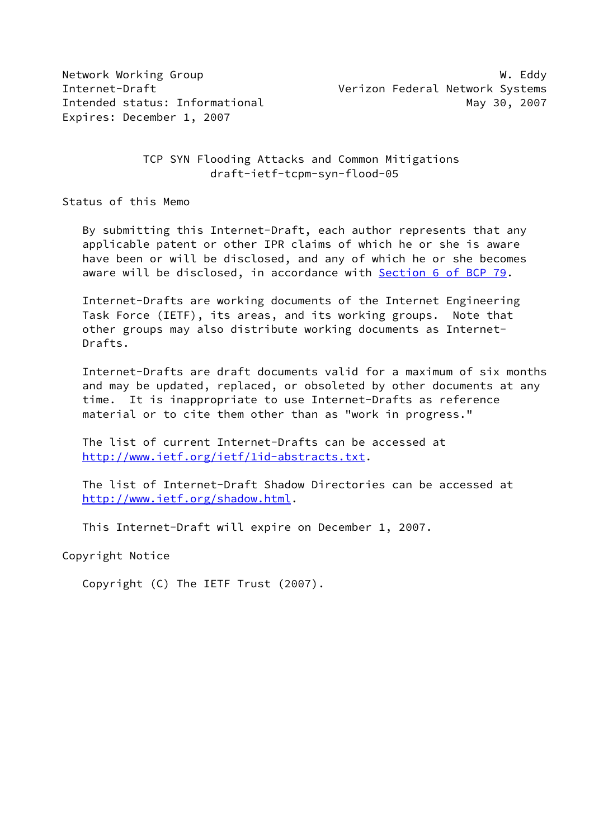Expires: December 1, 2007

Network Working Group Network Working Group W. Eddy Internet-Draft Verizon Federal Network Systems Intended status: Informational and May 30, 2007

# TCP SYN Flooding Attacks and Common Mitigations draft-ietf-tcpm-syn-flood-05

Status of this Memo

 By submitting this Internet-Draft, each author represents that any applicable patent or other IPR claims of which he or she is aware have been or will be disclosed, and any of which he or she becomes aware will be disclosed, in accordance with Section [6 of BCP 79.](https://datatracker.ietf.org/doc/pdf/bcp79#section-6)

 Internet-Drafts are working documents of the Internet Engineering Task Force (IETF), its areas, and its working groups. Note that other groups may also distribute working documents as Internet- Drafts.

 Internet-Drafts are draft documents valid for a maximum of six months and may be updated, replaced, or obsoleted by other documents at any time. It is inappropriate to use Internet-Drafts as reference material or to cite them other than as "work in progress."

 The list of current Internet-Drafts can be accessed at <http://www.ietf.org/ietf/1id-abstracts.txt>.

 The list of Internet-Draft Shadow Directories can be accessed at <http://www.ietf.org/shadow.html>.

This Internet-Draft will expire on December 1, 2007.

Copyright Notice

Copyright (C) The IETF Trust (2007).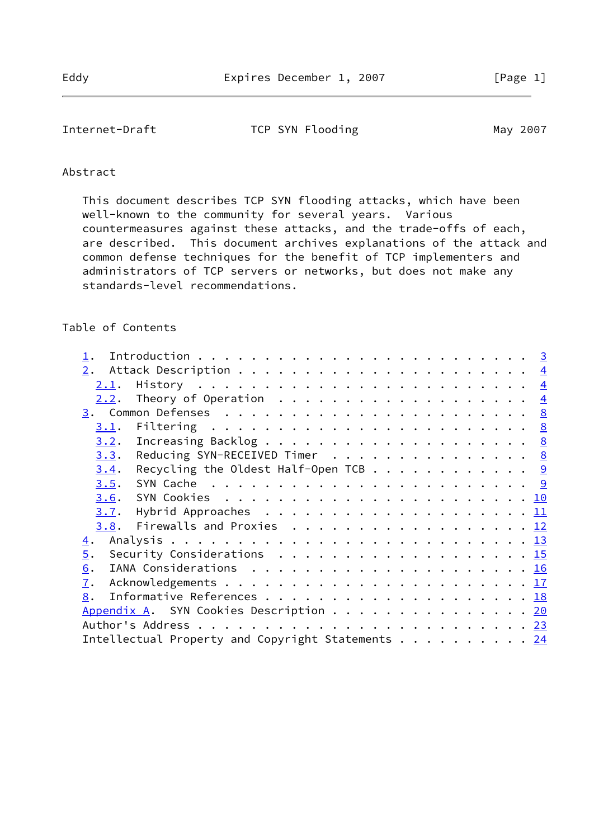Internet-Draft TCP SYN Flooding May 2007

## Abstract

 This document describes TCP SYN flooding attacks, which have been well-known to the community for several years. Various countermeasures against these attacks, and the trade-offs of each, are described. This document archives explanations of the attack and common defense techniques for the benefit of TCP implementers and administrators of TCP servers or networks, but does not make any standards-level recommendations.

## Table of Contents

| 2.                                                                                             |  |  |  |  |  |                |
|------------------------------------------------------------------------------------------------|--|--|--|--|--|----------------|
| 2.1.                                                                                           |  |  |  |  |  |                |
| 2.2.                                                                                           |  |  |  |  |  | $\overline{4}$ |
|                                                                                                |  |  |  |  |  |                |
| 3.1.                                                                                           |  |  |  |  |  |                |
| Increasing Backlog $\ldots$ 8<br>3.2.                                                          |  |  |  |  |  |                |
| Reducing SYN-RECEIVED Timer 8<br>3.3.                                                          |  |  |  |  |  |                |
| Recycling the Oldest Half-Open TCB 9<br>3.4.                                                   |  |  |  |  |  |                |
| 3.5.                                                                                           |  |  |  |  |  |                |
| 3.6.                                                                                           |  |  |  |  |  |                |
| Hybrid Approaches $\ldots \ldots \ldots \ldots \ldots \ldots \ldots \underline{11}$<br>3.7.    |  |  |  |  |  |                |
| Firewalls and Proxies $\ldots \ldots \ldots \ldots \ldots \ldots \frac{12}{2}$<br>3.8.         |  |  |  |  |  |                |
| $\overline{4}$ .                                                                               |  |  |  |  |  |                |
| 5.<br>Security Considerations $\ldots \ldots \ldots \ldots \ldots \ldots \ldots \frac{15}{15}$ |  |  |  |  |  |                |
| 6.                                                                                             |  |  |  |  |  |                |
| 7.                                                                                             |  |  |  |  |  |                |
| 8.                                                                                             |  |  |  |  |  |                |
| Appendix A. SYN Cookies Description 20                                                         |  |  |  |  |  |                |
|                                                                                                |  |  |  |  |  |                |
| Intellectual Property and Copyright Statements 24                                              |  |  |  |  |  |                |
|                                                                                                |  |  |  |  |  |                |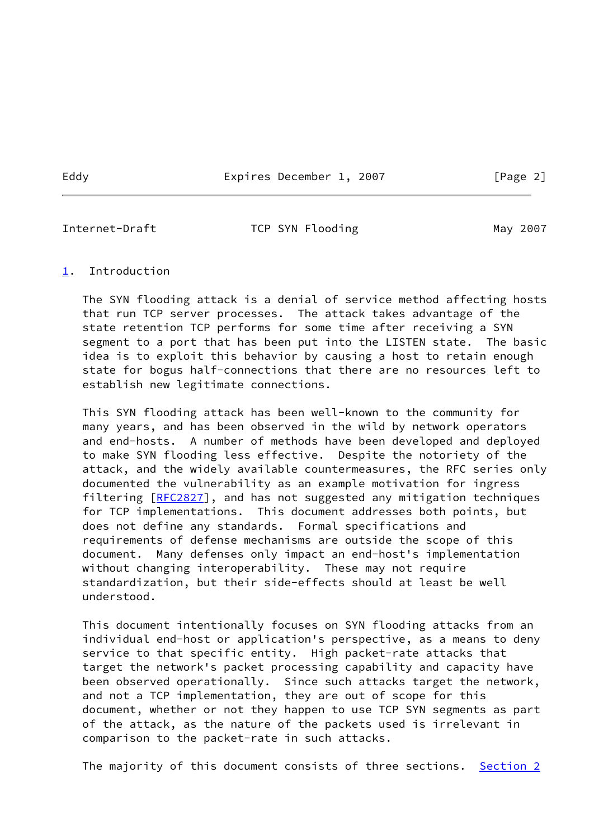Eddy Expires December 1, 2007 [Page 2]

<span id="page-2-1"></span>

Internet-Draft TCP SYN Flooding The May 2007

#### <span id="page-2-0"></span>[1](#page-2-0). Introduction

 The SYN flooding attack is a denial of service method affecting hosts that run TCP server processes. The attack takes advantage of the state retention TCP performs for some time after receiving a SYN segment to a port that has been put into the LISTEN state. The basic idea is to exploit this behavior by causing a host to retain enough state for bogus half-connections that there are no resources left to establish new legitimate connections.

 This SYN flooding attack has been well-known to the community for many years, and has been observed in the wild by network operators and end-hosts. A number of methods have been developed and deployed to make SYN flooding less effective. Despite the notoriety of the attack, and the widely available countermeasures, the RFC series only documented the vulnerability as an example motivation for ingress filtering [[RFC2827](https://datatracker.ietf.org/doc/pdf/rfc2827)], and has not suggested any mitigation techniques for TCP implementations. This document addresses both points, but does not define any standards. Formal specifications and requirements of defense mechanisms are outside the scope of this document. Many defenses only impact an end-host's implementation without changing interoperability. These may not require standardization, but their side-effects should at least be well understood.

 This document intentionally focuses on SYN flooding attacks from an individual end-host or application's perspective, as a means to deny service to that specific entity. High packet-rate attacks that target the network's packet processing capability and capacity have been observed operationally. Since such attacks target the network, and not a TCP implementation, they are out of scope for this document, whether or not they happen to use TCP SYN segments as part of the attack, as the nature of the packets used is irrelevant in comparison to the packet-rate in such attacks.

The majority of this document consists of three sections. [Section 2](#page-3-0)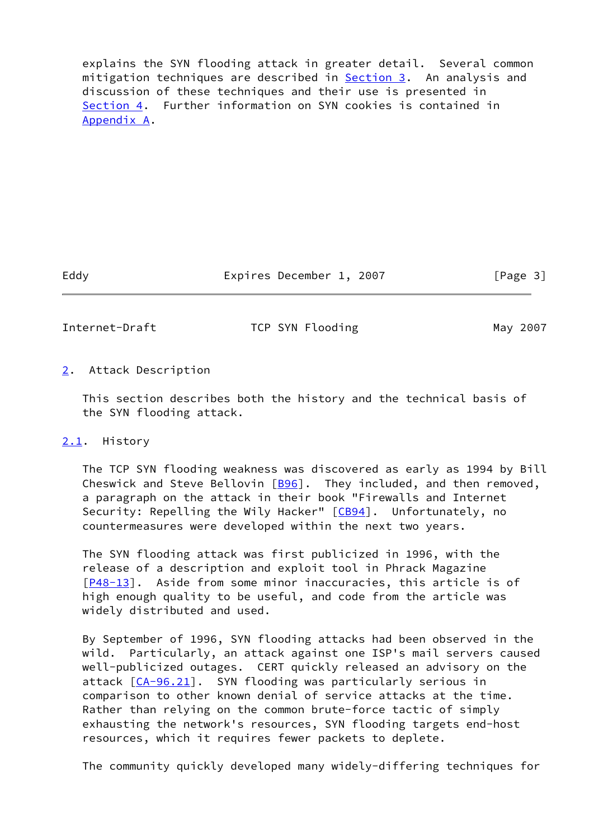explains the SYN flooding attack in greater detail. Several common mitigation techniques are described in **[Section 3.](#page-7-0)** An analysis and discussion of these techniques and their use is presented in [Section 4](#page-13-0). Further information on SYN cookies is contained in [Appendix A](#page-21-0).

Eddy **Expires December 1, 2007** [Page 3]

<span id="page-3-1"></span>Internet-Draft TCP SYN Flooding May 2007

<span id="page-3-0"></span>[2](#page-3-0). Attack Description

 This section describes both the history and the technical basis of the SYN flooding attack.

<span id="page-3-2"></span>[2.1](#page-3-2). History

 The TCP SYN flooding weakness was discovered as early as 1994 by Bill Cheswick and Steve Bellovin  $[B96]$ . They included, and then removed, a paragraph on the attack in their book "Firewalls and Internet Security: Repelling the Wily Hacker" [\[CB94](#page-19-3)]. Unfortunately, no countermeasures were developed within the next two years.

 The SYN flooding attack was first publicized in 1996, with the release of a description and exploit tool in Phrack Magazine [\[P48-13](#page-20-0)]. Aside from some minor inaccuracies, this article is of high enough quality to be useful, and code from the article was widely distributed and used.

 By September of 1996, SYN flooding attacks had been observed in the wild. Particularly, an attack against one ISP's mail servers caused well-publicized outages. CERT quickly released an advisory on the attack [\[CA-96.21](#page-19-4)]. SYN flooding was particularly serious in comparison to other known denial of service attacks at the time. Rather than relying on the common brute-force tactic of simply exhausting the network's resources, SYN flooding targets end-host resources, which it requires fewer packets to deplete.

The community quickly developed many widely-differing techniques for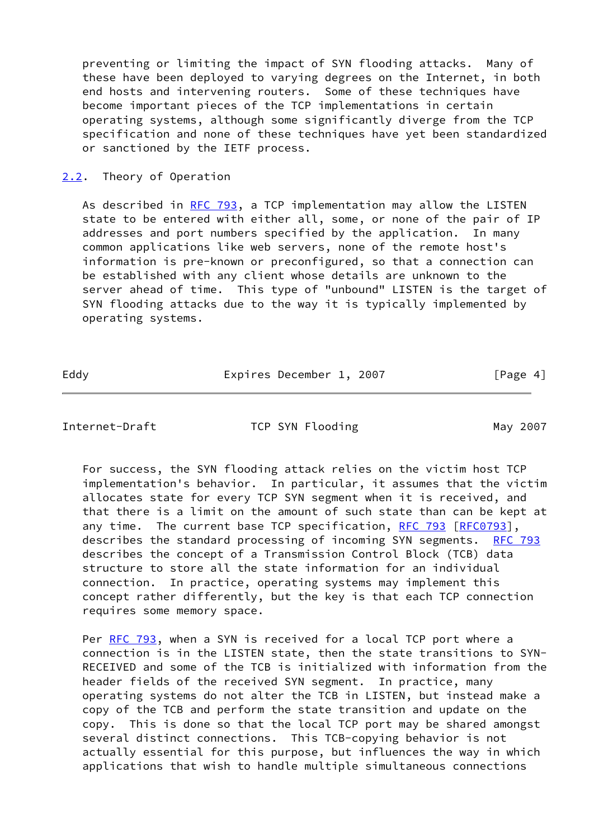preventing or limiting the impact of SYN flooding attacks. Many of these have been deployed to varying degrees on the Internet, in both end hosts and intervening routers. Some of these techniques have become important pieces of the TCP implementations in certain operating systems, although some significantly diverge from the TCP specification and none of these techniques have yet been standardized or sanctioned by the IETF process.

### <span id="page-4-0"></span>[2.2](#page-4-0). Theory of Operation

As described in [RFC 793](https://datatracker.ietf.org/doc/pdf/rfc793), a TCP implementation may allow the LISTEN state to be entered with either all, some, or none of the pair of IP addresses and port numbers specified by the application. In many common applications like web servers, none of the remote host's information is pre-known or preconfigured, so that a connection can be established with any client whose details are unknown to the server ahead of time. This type of "unbound" LISTEN is the target of SYN flooding attacks due to the way it is typically implemented by operating systems.

Eddy **Expires December 1, 2007** [Page 4]

Internet-Draft TCP SYN Flooding TCP And May 2007

 For success, the SYN flooding attack relies on the victim host TCP implementation's behavior. In particular, it assumes that the victim allocates state for every TCP SYN segment when it is received, and that there is a limit on the amount of such state than can be kept at any time. The current base TCP specification, [RFC 793](https://datatracker.ietf.org/doc/pdf/rfc793) [\[RFC0793](https://datatracker.ietf.org/doc/pdf/rfc0793)], describes the standard processing of incoming SYN segments. [RFC 793](https://datatracker.ietf.org/doc/pdf/rfc793) describes the concept of a Transmission Control Block (TCB) data structure to store all the state information for an individual connection. In practice, operating systems may implement this concept rather differently, but the key is that each TCP connection requires some memory space.

Per [RFC 793,](https://datatracker.ietf.org/doc/pdf/rfc793) when a SYN is received for a local TCP port where a connection is in the LISTEN state, then the state transitions to SYN- RECEIVED and some of the TCB is initialized with information from the header fields of the received SYN segment. In practice, many operating systems do not alter the TCB in LISTEN, but instead make a copy of the TCB and perform the state transition and update on the copy. This is done so that the local TCP port may be shared amongst several distinct connections. This TCB-copying behavior is not actually essential for this purpose, but influences the way in which applications that wish to handle multiple simultaneous connections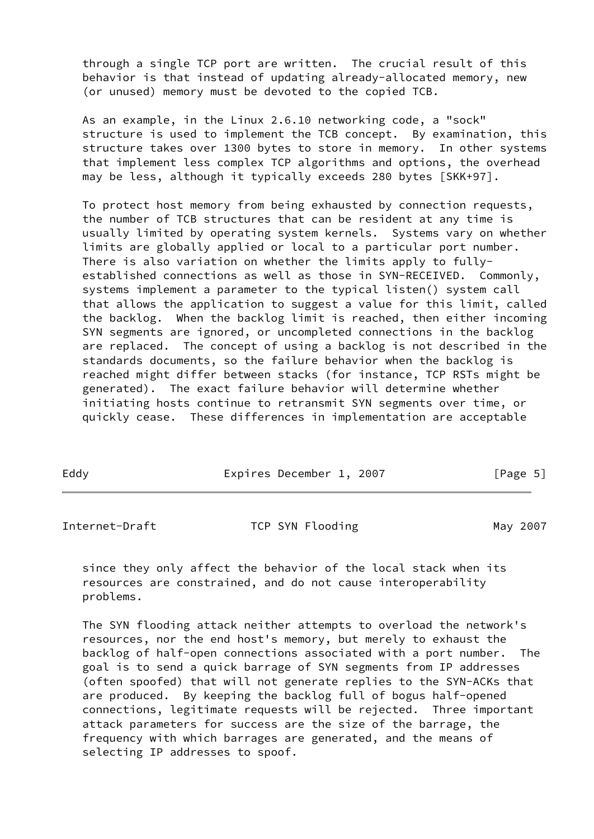through a single TCP port are written. The crucial result of this behavior is that instead of updating already-allocated memory, new (or unused) memory must be devoted to the copied TCB.

 As an example, in the Linux 2.6.10 networking code, a "sock" structure is used to implement the TCB concept. By examination, this structure takes over 1300 bytes to store in memory. In other systems that implement less complex TCP algorithms and options, the overhead may be less, although it typically exceeds 280 bytes [SKK+97].

 To protect host memory from being exhausted by connection requests, the number of TCB structures that can be resident at any time is usually limited by operating system kernels. Systems vary on whether limits are globally applied or local to a particular port number. There is also variation on whether the limits apply to fully established connections as well as those in SYN-RECEIVED. Commonly, systems implement a parameter to the typical listen() system call that allows the application to suggest a value for this limit, called the backlog. When the backlog limit is reached, then either incoming SYN segments are ignored, or uncompleted connections in the backlog are replaced. The concept of using a backlog is not described in the standards documents, so the failure behavior when the backlog is reached might differ between stacks (for instance, TCP RSTs might be generated). The exact failure behavior will determine whether initiating hosts continue to retransmit SYN segments over time, or quickly cease. These differences in implementation are acceptable

Eddy **Expires December 1, 2007** [Page 5]

Internet-Draft TCP SYN Flooding May 2007

 since they only affect the behavior of the local stack when its resources are constrained, and do not cause interoperability problems.

 The SYN flooding attack neither attempts to overload the network's resources, nor the end host's memory, but merely to exhaust the backlog of half-open connections associated with a port number. The goal is to send a quick barrage of SYN segments from IP addresses (often spoofed) that will not generate replies to the SYN-ACKs that are produced. By keeping the backlog full of bogus half-opened connections, legitimate requests will be rejected. Three important attack parameters for success are the size of the barrage, the frequency with which barrages are generated, and the means of selecting IP addresses to spoof.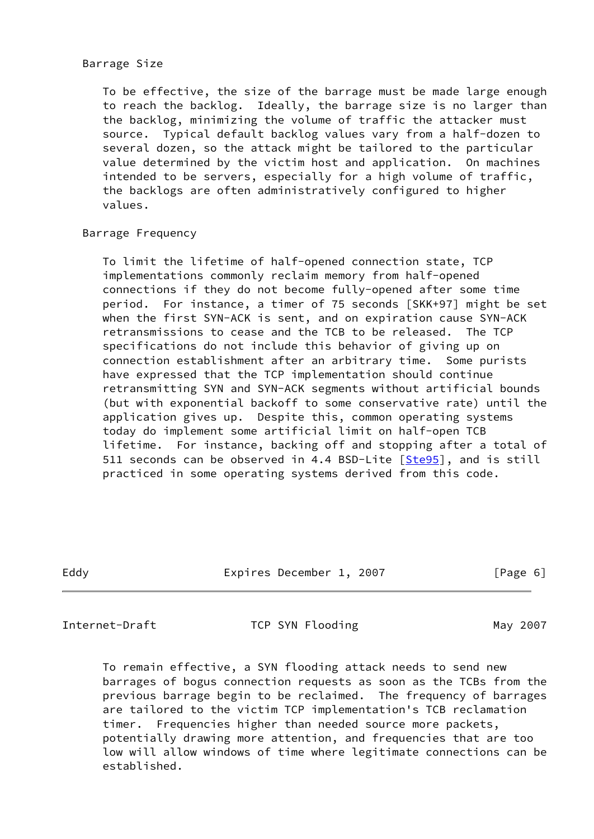### Barrage Size

 To be effective, the size of the barrage must be made large enough to reach the backlog. Ideally, the barrage size is no larger than the backlog, minimizing the volume of traffic the attacker must source. Typical default backlog values vary from a half-dozen to several dozen, so the attack might be tailored to the particular value determined by the victim host and application. On machines intended to be servers, especially for a high volume of traffic, the backlogs are often administratively configured to higher values.

Barrage Frequency

 To limit the lifetime of half-opened connection state, TCP implementations commonly reclaim memory from half-opened connections if they do not become fully-opened after some time period. For instance, a timer of 75 seconds [SKK+97] might be set when the first SYN-ACK is sent, and on expiration cause SYN-ACK retransmissions to cease and the TCB to be released. The TCP specifications do not include this behavior of giving up on connection establishment after an arbitrary time. Some purists have expressed that the TCP implementation should continue retransmitting SYN and SYN-ACK segments without artificial bounds (but with exponential backoff to some conservative rate) until the application gives up. Despite this, common operating systems today do implement some artificial limit on half-open TCB lifetime. For instance, backing off and stopping after a total of 511 seconds can be observed in 4.4 BSD-Lite [\[Ste95](#page-21-2)], and is still practiced in some operating systems derived from this code.

Eddy Expires December 1, 2007 [Page 6]

Internet-Draft TCP SYN Flooding The May 2007

 To remain effective, a SYN flooding attack needs to send new barrages of bogus connection requests as soon as the TCBs from the previous barrage begin to be reclaimed. The frequency of barrages are tailored to the victim TCP implementation's TCB reclamation timer. Frequencies higher than needed source more packets, potentially drawing more attention, and frequencies that are too low will allow windows of time where legitimate connections can be established.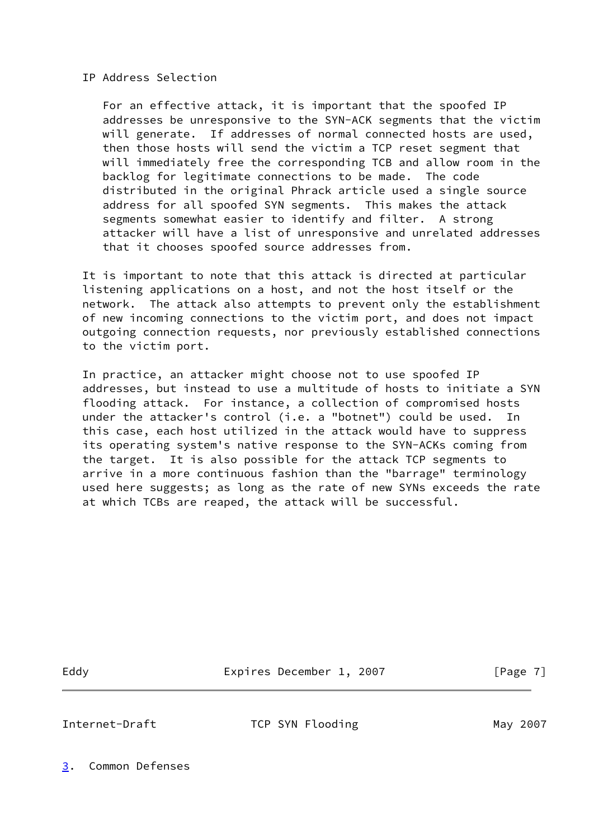## IP Address Selection

 For an effective attack, it is important that the spoofed IP addresses be unresponsive to the SYN-ACK segments that the victim will generate. If addresses of normal connected hosts are used, then those hosts will send the victim a TCP reset segment that will immediately free the corresponding TCB and allow room in the backlog for legitimate connections to be made. The code distributed in the original Phrack article used a single source address for all spoofed SYN segments. This makes the attack segments somewhat easier to identify and filter. A strong attacker will have a list of unresponsive and unrelated addresses that it chooses spoofed source addresses from.

 It is important to note that this attack is directed at particular listening applications on a host, and not the host itself or the network. The attack also attempts to prevent only the establishment of new incoming connections to the victim port, and does not impact outgoing connection requests, nor previously established connections to the victim port.

 In practice, an attacker might choose not to use spoofed IP addresses, but instead to use a multitude of hosts to initiate a SYN flooding attack. For instance, a collection of compromised hosts under the attacker's control (i.e. a "botnet") could be used. In this case, each host utilized in the attack would have to suppress its operating system's native response to the SYN-ACKs coming from the target. It is also possible for the attack TCP segments to arrive in a more continuous fashion than the "barrage" terminology used here suggests; as long as the rate of new SYNs exceeds the rate at which TCBs are reaped, the attack will be successful.

Eddy Expires December 1, 2007 [Page 7]

<span id="page-7-1"></span>

Internet-Draft TCP SYN Flooding The May 2007

<span id="page-7-0"></span>[3](#page-7-0). Common Defenses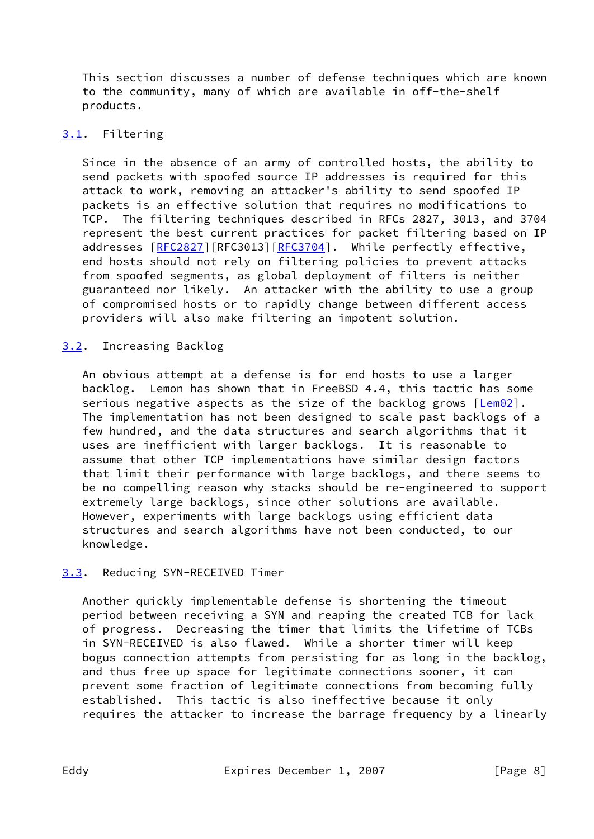This section discusses a number of defense techniques which are known to the community, many of which are available in off-the-shelf products.

# <span id="page-8-0"></span>[3.1](#page-8-0). Filtering

 Since in the absence of an army of controlled hosts, the ability to send packets with spoofed source IP addresses is required for this attack to work, removing an attacker's ability to send spoofed IP packets is an effective solution that requires no modifications to TCP. The filtering techniques described in RFCs 2827, 3013, and 3704 represent the best current practices for packet filtering based on IP addresses  $[REC2827] [RFC3013] [REC3704]$ . While perfectly effective, end hosts should not rely on filtering policies to prevent attacks from spoofed segments, as global deployment of filters is neither guaranteed nor likely. An attacker with the ability to use a group of compromised hosts or to rapidly change between different access providers will also make filtering an impotent solution.

# <span id="page-8-1"></span>[3.2](#page-8-1). Increasing Backlog

 An obvious attempt at a defense is for end hosts to use a larger backlog. Lemon has shown that in FreeBSD 4.4, this tactic has some serious negative aspects as the size of the backlog grows [[Lem02\]](#page-19-5). The implementation has not been designed to scale past backlogs of a few hundred, and the data structures and search algorithms that it uses are inefficient with larger backlogs. It is reasonable to assume that other TCP implementations have similar design factors that limit their performance with large backlogs, and there seems to be no compelling reason why stacks should be re-engineered to support extremely large backlogs, since other solutions are available. However, experiments with large backlogs using efficient data structures and search algorithms have not been conducted, to our knowledge.

# <span id="page-8-2"></span>[3.3](#page-8-2). Reducing SYN-RECEIVED Timer

 Another quickly implementable defense is shortening the timeout period between receiving a SYN and reaping the created TCB for lack of progress. Decreasing the timer that limits the lifetime of TCBs in SYN-RECEIVED is also flawed. While a shorter timer will keep bogus connection attempts from persisting for as long in the backlog, and thus free up space for legitimate connections sooner, it can prevent some fraction of legitimate connections from becoming fully established. This tactic is also ineffective because it only requires the attacker to increase the barrage frequency by a linearly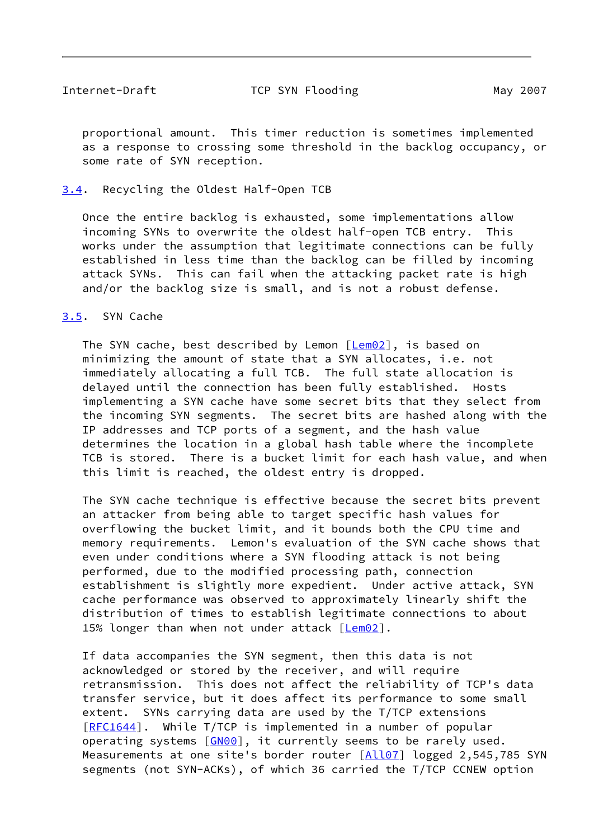<span id="page-9-1"></span> proportional amount. This timer reduction is sometimes implemented as a response to crossing some threshold in the backlog occupancy, or some rate of SYN reception.

## <span id="page-9-0"></span>[3.4](#page-9-0). Recycling the Oldest Half-Open TCB

 Once the entire backlog is exhausted, some implementations allow incoming SYNs to overwrite the oldest half-open TCB entry. This works under the assumption that legitimate connections can be fully established in less time than the backlog can be filled by incoming attack SYNs. This can fail when the attacking packet rate is high and/or the backlog size is small, and is not a robust defense.

### <span id="page-9-2"></span>[3.5](#page-9-2). SYN Cache

The SYN cache, best described by Lemon [\[Lem02](#page-19-5)], is based on minimizing the amount of state that a SYN allocates, i.e. not immediately allocating a full TCB. The full state allocation is delayed until the connection has been fully established. Hosts implementing a SYN cache have some secret bits that they select from the incoming SYN segments. The secret bits are hashed along with the IP addresses and TCP ports of a segment, and the hash value determines the location in a global hash table where the incomplete TCB is stored. There is a bucket limit for each hash value, and when this limit is reached, the oldest entry is dropped.

 The SYN cache technique is effective because the secret bits prevent an attacker from being able to target specific hash values for overflowing the bucket limit, and it bounds both the CPU time and memory requirements. Lemon's evaluation of the SYN cache shows that even under conditions where a SYN flooding attack is not being performed, due to the modified processing path, connection establishment is slightly more expedient. Under active attack, SYN cache performance was observed to approximately linearly shift the distribution of times to establish legitimate connections to about 15% longer than when not under attack [[Lem02\]](#page-19-5).

 If data accompanies the SYN segment, then this data is not acknowledged or stored by the receiver, and will require retransmission. This does not affect the reliability of TCP's data transfer service, but it does affect its performance to some small extent. SYNs carrying data are used by the T/TCP extensions [\[RFC1644](https://datatracker.ietf.org/doc/pdf/rfc1644)]. While T/TCP is implemented in a number of popular operating systems [[GN00\]](#page-19-6), it currently seems to be rarely used. Measurements at one site's border router [\[All07\]](#page-19-7) logged 2,545,785 SYN segments (not SYN-ACKs), of which 36 carried the T/TCP CCNEW option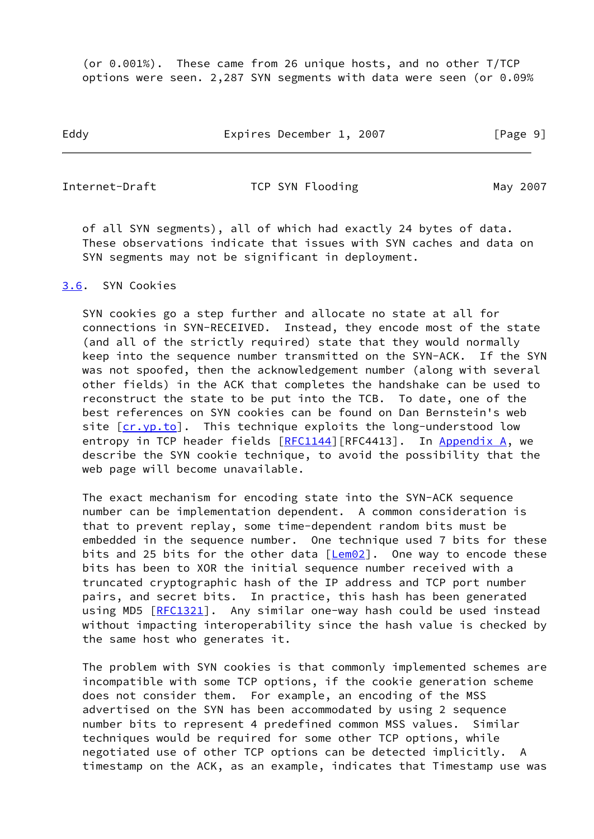(or 0.001%). These came from 26 unique hosts, and no other T/TCP options were seen. 2,287 SYN segments with data were seen (or 0.09%

Eddy Expires December 1, 2007 [Page 9]

<span id="page-10-1"></span>Internet-Draft TCP SYN Flooding May 2007

 of all SYN segments), all of which had exactly 24 bytes of data. These observations indicate that issues with SYN caches and data on SYN segments may not be significant in deployment.

## <span id="page-10-0"></span>[3.6](#page-10-0). SYN Cookies

 SYN cookies go a step further and allocate no state at all for connections in SYN-RECEIVED. Instead, they encode most of the state (and all of the strictly required) state that they would normally keep into the sequence number transmitted on the SYN-ACK. If the SYN was not spoofed, then the acknowledgement number (along with several other fields) in the ACK that completes the handshake can be used to reconstruct the state to be put into the TCB. To date, one of the best references on SYN cookies can be found on Dan Bernstein's web site [\[cr.yp.to](#page-21-3)]. This technique exploits the long-understood low entropy in TCP header fields [\[RFC1144](https://datatracker.ietf.org/doc/pdf/rfc1144)] [RFC4413]. In [Appendix A,](#page-21-0) we describe the SYN cookie technique, to avoid the possibility that the web page will become unavailable.

 The exact mechanism for encoding state into the SYN-ACK sequence number can be implementation dependent. A common consideration is that to prevent replay, some time-dependent random bits must be embedded in the sequence number. One technique used 7 bits for these bits and 25 bits for the other data  $[Lemma 2]$ . One way to encode these bits has been to XOR the initial sequence number received with a truncated cryptographic hash of the IP address and TCP port number pairs, and secret bits. In practice, this hash has been generated using MD5 [[RFC1321](https://datatracker.ietf.org/doc/pdf/rfc1321)]. Any similar one-way hash could be used instead without impacting interoperability since the hash value is checked by the same host who generates it.

 The problem with SYN cookies is that commonly implemented schemes are incompatible with some TCP options, if the cookie generation scheme does not consider them. For example, an encoding of the MSS advertised on the SYN has been accommodated by using 2 sequence number bits to represent 4 predefined common MSS values. Similar techniques would be required for some other TCP options, while negotiated use of other TCP options can be detected implicitly. A timestamp on the ACK, as an example, indicates that Timestamp use was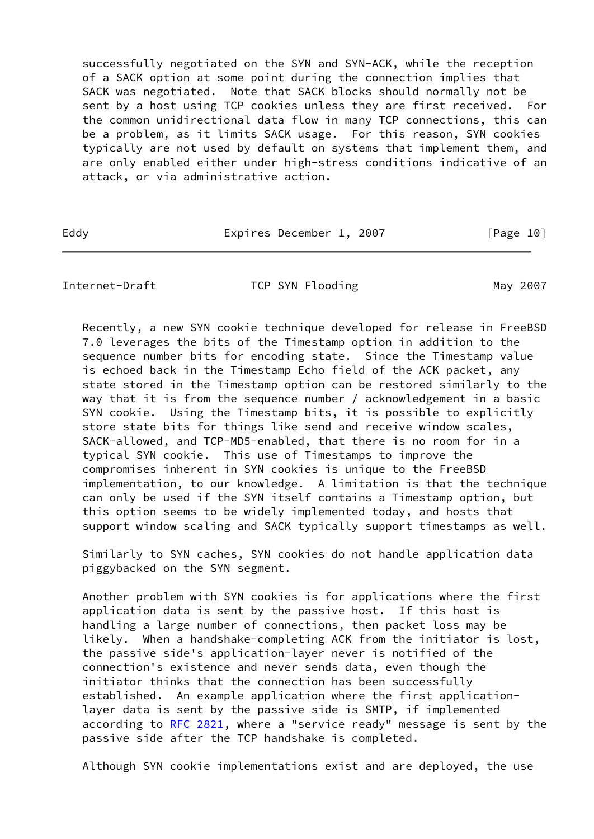successfully negotiated on the SYN and SYN-ACK, while the reception of a SACK option at some point during the connection implies that SACK was negotiated. Note that SACK blocks should normally not be sent by a host using TCP cookies unless they are first received. For the common unidirectional data flow in many TCP connections, this can be a problem, as it limits SACK usage. For this reason, SYN cookies typically are not used by default on systems that implement them, and are only enabled either under high-stress conditions indicative of an attack, or via administrative action.

Eddy Expires December 1, 2007 [Page 10]

<span id="page-11-0"></span>Internet-Draft TCP SYN Flooding TCP 3007

 Recently, a new SYN cookie technique developed for release in FreeBSD 7.0 leverages the bits of the Timestamp option in addition to the sequence number bits for encoding state. Since the Timestamp value is echoed back in the Timestamp Echo field of the ACK packet, any state stored in the Timestamp option can be restored similarly to the way that it is from the sequence number / acknowledgement in a basic SYN cookie. Using the Timestamp bits, it is possible to explicitly store state bits for things like send and receive window scales, SACK-allowed, and TCP-MD5-enabled, that there is no room for in a typical SYN cookie. This use of Timestamps to improve the compromises inherent in SYN cookies is unique to the FreeBSD implementation, to our knowledge. A limitation is that the technique can only be used if the SYN itself contains a Timestamp option, but this option seems to be widely implemented today, and hosts that support window scaling and SACK typically support timestamps as well.

 Similarly to SYN caches, SYN cookies do not handle application data piggybacked on the SYN segment.

 Another problem with SYN cookies is for applications where the first application data is sent by the passive host. If this host is handling a large number of connections, then packet loss may be likely. When a handshake-completing ACK from the initiator is lost, the passive side's application-layer never is notified of the connection's existence and never sends data, even though the initiator thinks that the connection has been successfully established. An example application where the first application layer data is sent by the passive side is SMTP, if implemented according to [RFC 2821](https://datatracker.ietf.org/doc/pdf/rfc2821), where a "service ready" message is sent by the passive side after the TCP handshake is completed.

Although SYN cookie implementations exist and are deployed, the use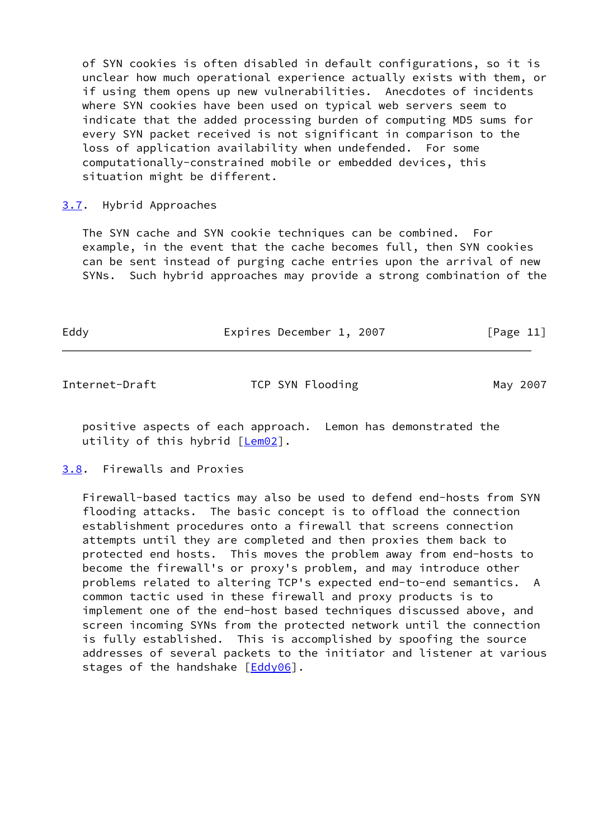of SYN cookies is often disabled in default configurations, so it is unclear how much operational experience actually exists with them, or if using them opens up new vulnerabilities. Anecdotes of incidents where SYN cookies have been used on typical web servers seem to indicate that the added processing burden of computing MD5 sums for every SYN packet received is not significant in comparison to the loss of application availability when undefended. For some computationally-constrained mobile or embedded devices, this situation might be different.

### <span id="page-12-0"></span>[3.7](#page-12-0). Hybrid Approaches

 The SYN cache and SYN cookie techniques can be combined. For example, in the event that the cache becomes full, then SYN cookies can be sent instead of purging cache entries upon the arrival of new SYNs. Such hybrid approaches may provide a strong combination of the

Eddy **Expires December 1, 2007** [Page 11]

<span id="page-12-2"></span>Internet-Draft TCP SYN Flooding May 2007

 positive aspects of each approach. Lemon has demonstrated the utility of this hybrid [\[Lem02](#page-19-5)].

<span id="page-12-1"></span>[3.8](#page-12-1). Firewalls and Proxies

 Firewall-based tactics may also be used to defend end-hosts from SYN flooding attacks. The basic concept is to offload the connection establishment procedures onto a firewall that screens connection attempts until they are completed and then proxies them back to protected end hosts. This moves the problem away from end-hosts to become the firewall's or proxy's problem, and may introduce other problems related to altering TCP's expected end-to-end semantics. A common tactic used in these firewall and proxy products is to implement one of the end-host based techniques discussed above, and screen incoming SYNs from the protected network until the connection is fully established. This is accomplished by spoofing the source addresses of several packets to the initiator and listener at various stages of the handshake [\[Eddy06](#page-19-8)].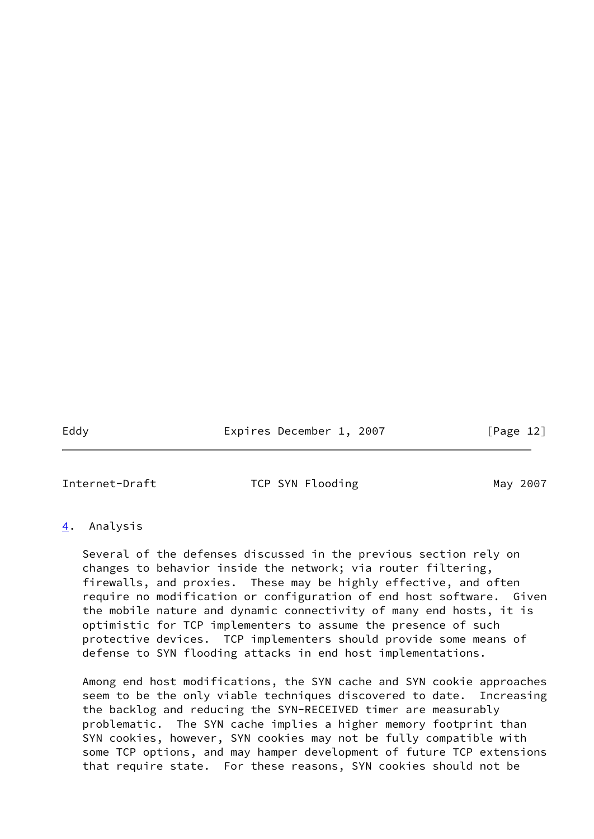Eddy **Expires December 1, 2007** [Page 12]

<span id="page-13-1"></span>

Internet-Draft TCP SYN Flooding TCP And May 2007

# <span id="page-13-0"></span>[4](#page-13-0). Analysis

 Several of the defenses discussed in the previous section rely on changes to behavior inside the network; via router filtering, firewalls, and proxies. These may be highly effective, and often require no modification or configuration of end host software. Given the mobile nature and dynamic connectivity of many end hosts, it is optimistic for TCP implementers to assume the presence of such protective devices. TCP implementers should provide some means of defense to SYN flooding attacks in end host implementations.

 Among end host modifications, the SYN cache and SYN cookie approaches seem to be the only viable techniques discovered to date. Increasing the backlog and reducing the SYN-RECEIVED timer are measurably problematic. The SYN cache implies a higher memory footprint than SYN cookies, however, SYN cookies may not be fully compatible with some TCP options, and may hamper development of future TCP extensions that require state. For these reasons, SYN cookies should not be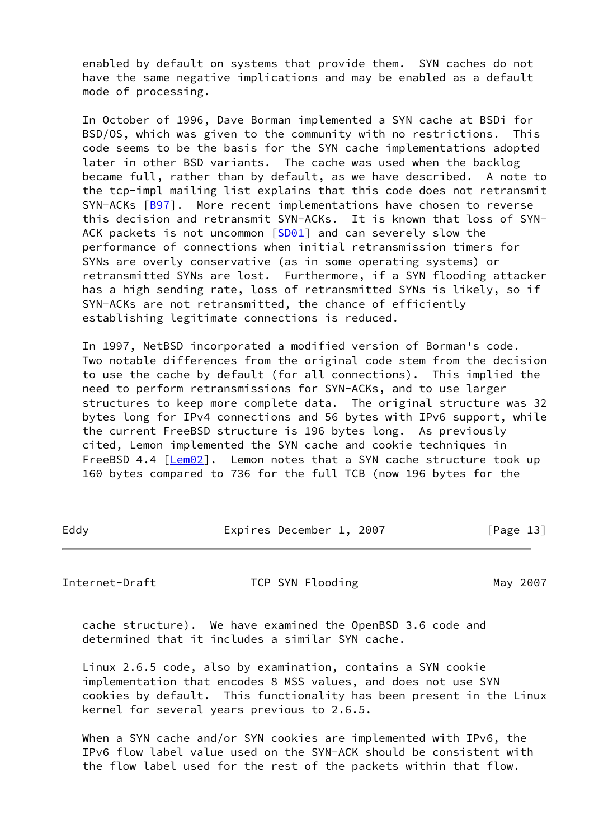enabled by default on systems that provide them. SYN caches do not have the same negative implications and may be enabled as a default mode of processing.

 In October of 1996, Dave Borman implemented a SYN cache at BSDi for BSD/OS, which was given to the community with no restrictions. This code seems to be the basis for the SYN cache implementations adopted later in other BSD variants. The cache was used when the backlog became full, rather than by default, as we have described. A note to the tcp-impl mailing list explains that this code does not retransmit SYN-ACKs  $[**B97**]$ . More recent implementations have chosen to reverse this decision and retransmit SYN-ACKs. It is known that loss of SYN- ACK packets is not uncommon [\[SD01](#page-20-1)] and can severely slow the performance of connections when initial retransmission timers for SYNs are overly conservative (as in some operating systems) or retransmitted SYNs are lost. Furthermore, if a SYN flooding attacker has a high sending rate, loss of retransmitted SYNs is likely, so if SYN-ACKs are not retransmitted, the chance of efficiently establishing legitimate connections is reduced.

 In 1997, NetBSD incorporated a modified version of Borman's code. Two notable differences from the original code stem from the decision to use the cache by default (for all connections). This implied the need to perform retransmissions for SYN-ACKs, and to use larger structures to keep more complete data. The original structure was 32 bytes long for IPv4 connections and 56 bytes with IPv6 support, while the current FreeBSD structure is 196 bytes long. As previously cited, Lemon implemented the SYN cache and cookie techniques in FreeBSD 4.4 [\[Lem02](#page-19-5)]. Lemon notes that a SYN cache structure took up 160 bytes compared to 736 for the full TCB (now 196 bytes for the

Eddy Expires December 1, 2007 [Page 13]

Internet-Draft TCP SYN Flooding May 2007

 cache structure). We have examined the OpenBSD 3.6 code and determined that it includes a similar SYN cache.

 Linux 2.6.5 code, also by examination, contains a SYN cookie implementation that encodes 8 MSS values, and does not use SYN cookies by default. This functionality has been present in the Linux kernel for several years previous to 2.6.5.

 When a SYN cache and/or SYN cookies are implemented with IPv6, the IPv6 flow label value used on the SYN-ACK should be consistent with the flow label used for the rest of the packets within that flow.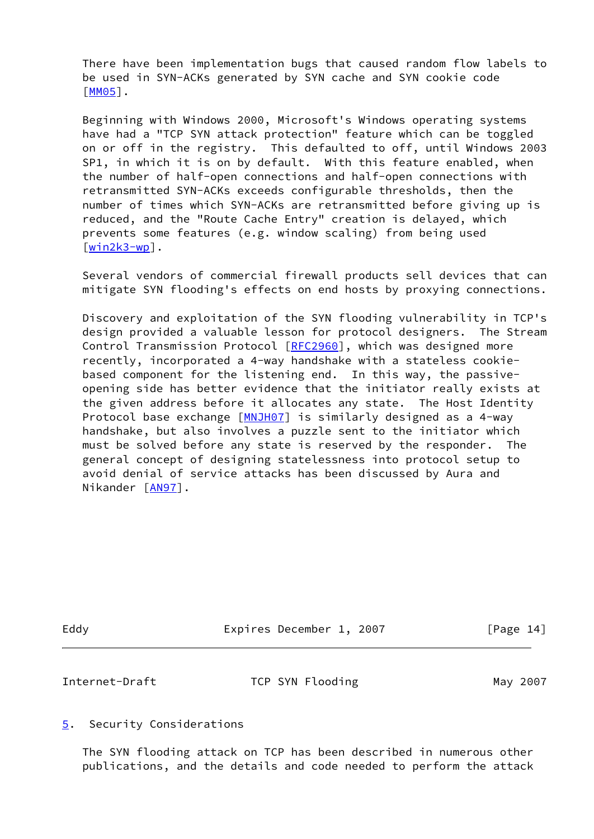There have been implementation bugs that caused random flow labels to be used in SYN-ACKs generated by SYN cache and SYN cookie code [\[MM05](#page-19-10)].

 Beginning with Windows 2000, Microsoft's Windows operating systems have had a "TCP SYN attack protection" feature which can be toggled on or off in the registry. This defaulted to off, until Windows 2003 SP1, in which it is on by default. With this feature enabled, when the number of half-open connections and half-open connections with retransmitted SYN-ACKs exceeds configurable thresholds, then the number of times which SYN-ACKs are retransmitted before giving up is reduced, and the "Route Cache Entry" creation is delayed, which prevents some features (e.g. window scaling) from being used [\[win2k3-wp](#page-21-4)].

 Several vendors of commercial firewall products sell devices that can mitigate SYN flooding's effects on end hosts by proxying connections.

 Discovery and exploitation of the SYN flooding vulnerability in TCP's design provided a valuable lesson for protocol designers. The Stream Control Transmission Protocol [[RFC2960](https://datatracker.ietf.org/doc/pdf/rfc2960)], which was designed more recently, incorporated a 4-way handshake with a stateless cookie based component for the listening end. In this way, the passive opening side has better evidence that the initiator really exists at the given address before it allocates any state. The Host Identity Protocol base exchange [\[MNJH07](#page-20-2)] is similarly designed as a 4-way handshake, but also involves a puzzle sent to the initiator which must be solved before any state is reserved by the responder. The general concept of designing statelessness into protocol setup to avoid denial of service attacks has been discussed by Aura and Nikander [\[AN97](#page-19-11)].

Eddy **Expires December 1, 2007** [Page 14]

<span id="page-15-1"></span>Internet-Draft TCP SYN Flooding The May 2007

<span id="page-15-0"></span>[5](#page-15-0). Security Considerations

 The SYN flooding attack on TCP has been described in numerous other publications, and the details and code needed to perform the attack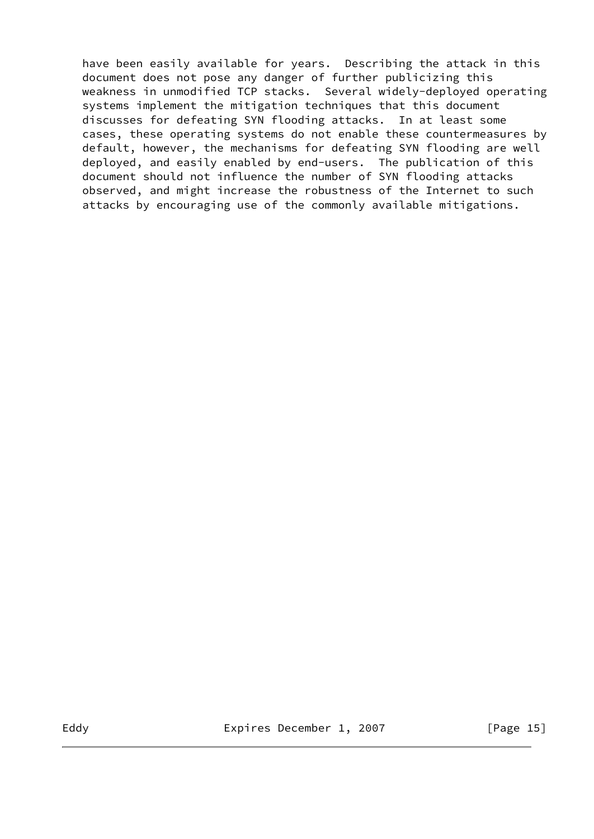have been easily available for years. Describing the attack in this document does not pose any danger of further publicizing this weakness in unmodified TCP stacks. Several widely-deployed operating systems implement the mitigation techniques that this document discusses for defeating SYN flooding attacks. In at least some cases, these operating systems do not enable these countermeasures by default, however, the mechanisms for defeating SYN flooding are well deployed, and easily enabled by end-users. The publication of this document should not influence the number of SYN flooding attacks observed, and might increase the robustness of the Internet to such attacks by encouraging use of the commonly available mitigations.

Eddy Expires December 1, 2007 [Page 15]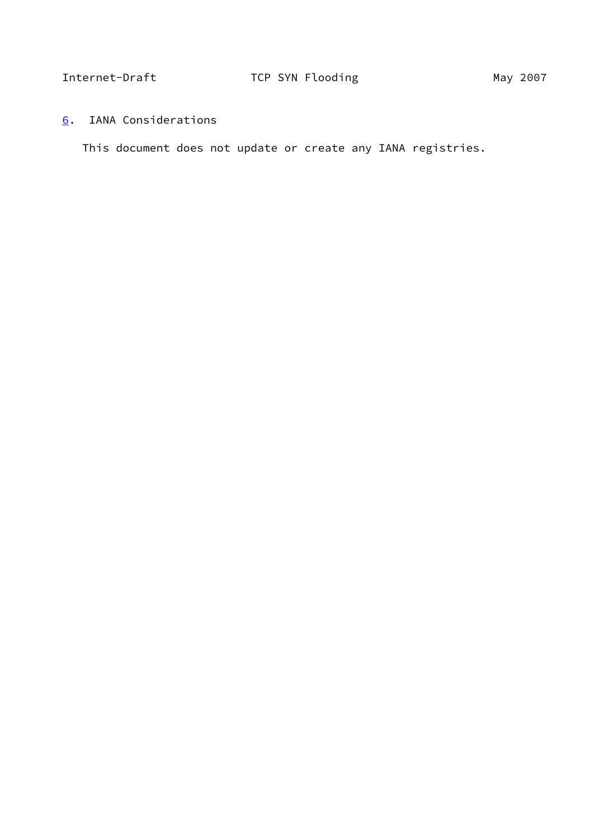<span id="page-17-1"></span><span id="page-17-0"></span>[6](#page-17-0). IANA Considerations

This document does not update or create any IANA registries.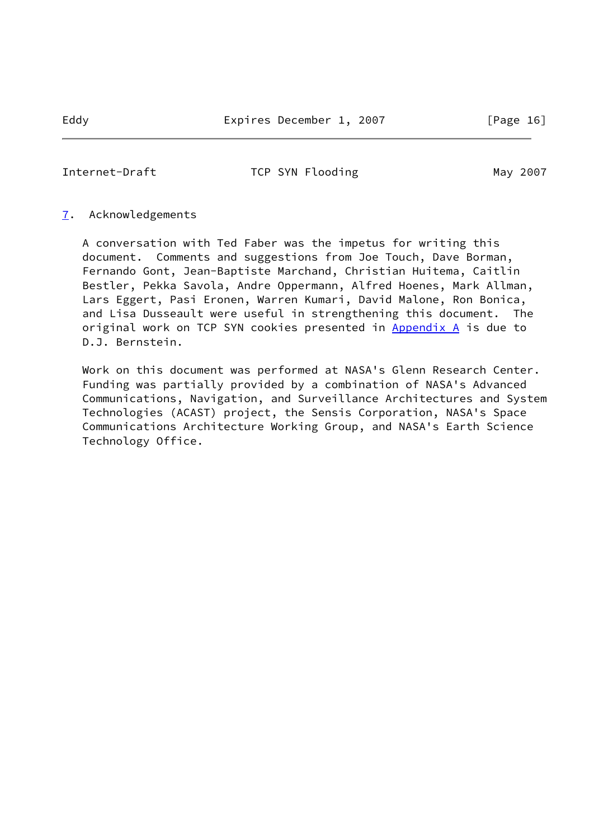## <span id="page-18-1"></span>Internet-Draft TCP SYN Flooding May 2007

# <span id="page-18-0"></span>[7](#page-18-0). Acknowledgements

 A conversation with Ted Faber was the impetus for writing this document. Comments and suggestions from Joe Touch, Dave Borman, Fernando Gont, Jean-Baptiste Marchand, Christian Huitema, Caitlin Bestler, Pekka Savola, Andre Oppermann, Alfred Hoenes, Mark Allman, Lars Eggert, Pasi Eronen, Warren Kumari, David Malone, Ron Bonica, and Lisa Dusseault were useful in strengthening this document. The original work on TCP SYN cookies presented in  $Appendix A$  is due to D.J. Bernstein.

 Work on this document was performed at NASA's Glenn Research Center. Funding was partially provided by a combination of NASA's Advanced Communications, Navigation, and Surveillance Architectures and System Technologies (ACAST) project, the Sensis Corporation, NASA's Space Communications Architecture Working Group, and NASA's Earth Science Technology Office.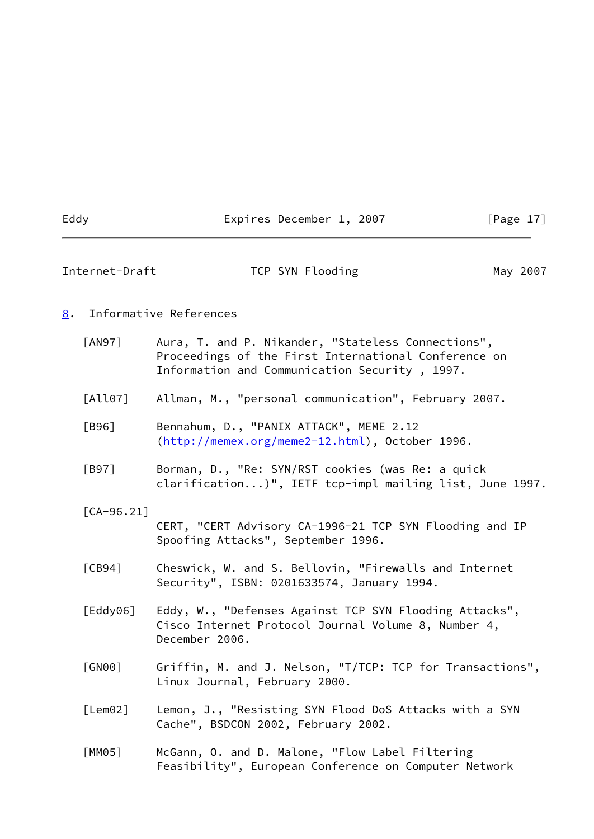<span id="page-19-11"></span><span id="page-19-10"></span><span id="page-19-9"></span><span id="page-19-8"></span><span id="page-19-7"></span><span id="page-19-6"></span><span id="page-19-5"></span><span id="page-19-4"></span><span id="page-19-3"></span><span id="page-19-2"></span><span id="page-19-1"></span><span id="page-19-0"></span>

|    | Internet-Draft           | TCP SYN Flooding<br>May 2007                                                                                                                                |  |  |  |  |  |  |  |  |  |
|----|--------------------------|-------------------------------------------------------------------------------------------------------------------------------------------------------------|--|--|--|--|--|--|--|--|--|
| 8. |                          | Informative References                                                                                                                                      |  |  |  |  |  |  |  |  |  |
|    | [AN97]                   | Aura, T. and P. Nikander, "Stateless Connections",<br>Proceedings of the First International Conference on<br>Information and Communication Security, 1997. |  |  |  |  |  |  |  |  |  |
|    | [All07]                  | Allman, M., "personal communication", February 2007.                                                                                                        |  |  |  |  |  |  |  |  |  |
|    | [896]                    | Bennahum, D., "PANIX ATTACK", MEME 2.12<br>(http://memex.org/meme2-12.html), October 1996.                                                                  |  |  |  |  |  |  |  |  |  |
|    | $[$ B97]                 | Borman, D., "Re: SYN/RST cookies (was Re: a quick<br>clarification)", IETF tcp-impl mailing list, June 1997.                                                |  |  |  |  |  |  |  |  |  |
|    | $\lceil CA-96.21 \rceil$ | CERT, "CERT Advisory CA-1996-21 TCP SYN Flooding and IP<br>Spoofing Attacks", September 1996.                                                               |  |  |  |  |  |  |  |  |  |
|    | $\lceil$ CB94]           | Cheswick, W. and S. Bellovin, "Firewalls and Internet<br>Security", ISBN: 0201633574, January 1994.                                                         |  |  |  |  |  |  |  |  |  |
|    | [Eddy06]                 | Eddy, W., "Defenses Against TCP SYN Flooding Attacks",<br>Cisco Internet Protocol Journal Volume 8, Number 4,<br>December 2006.                             |  |  |  |  |  |  |  |  |  |
|    | [GN00]                   | Griffin, M. and J. Nelson, "T/TCP: TCP for Transactions",<br>Linux Journal, February 2000.                                                                  |  |  |  |  |  |  |  |  |  |
|    | [Lemma 2]                | Lemon, J., "Resisting SYN Flood DoS Attacks with a SYN<br>Cache", BSDCON 2002, February 2002.                                                               |  |  |  |  |  |  |  |  |  |
|    | [MMO5]                   | McGann, O. and D. Malone, "Flow Label Filtering<br>Feasibility", European Conference on Computer Network                                                    |  |  |  |  |  |  |  |  |  |

Eddy **Expires December 1, 2007** [Page 17]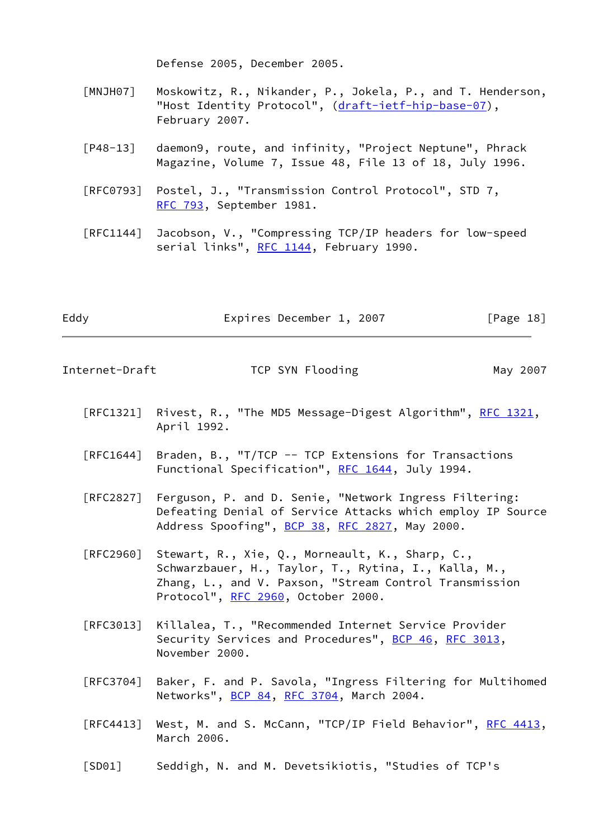Defense 2005, December 2005.

- <span id="page-20-2"></span> [MNJH07] Moskowitz, R., Nikander, P., Jokela, P., and T. Henderson, "Host Identity Protocol", [\(draft-ietf-hip-base-07](https://datatracker.ietf.org/doc/pdf/draft-ietf-hip-base-07)), February 2007.
- <span id="page-20-0"></span> [P48-13] daemon9, route, and infinity, "Project Neptune", Phrack Magazine, Volume 7, Issue 48, File 13 of 18, July 1996.
- [RFC0793] Postel, J., "Transmission Control Protocol", STD 7, [RFC 793](https://datatracker.ietf.org/doc/pdf/rfc793), September 1981.
- [RFC1144] Jacobson, V., "Compressing TCP/IP headers for low-speed serial links", [RFC 1144](https://datatracker.ietf.org/doc/pdf/rfc1144), February 1990.

Eddy **Expires December 1, 2007** [Page 18]

Internet-Draft TCP SYN Flooding May 2007

[RFC1321] Rivest, R., "The MD5 Message-Digest Algorithm", [RFC 1321,](https://datatracker.ietf.org/doc/pdf/rfc1321) April 1992.

- [RFC1644] Braden, B., "T/TCP -- TCP Extensions for Transactions Functional Specification", [RFC 1644](https://datatracker.ietf.org/doc/pdf/rfc1644), July 1994.
- [RFC2827] Ferguson, P. and D. Senie, "Network Ingress Filtering: Defeating Denial of Service Attacks which employ IP Source Address Spoofing", [BCP 38](https://datatracker.ietf.org/doc/pdf/bcp38), [RFC 2827](https://datatracker.ietf.org/doc/pdf/rfc2827), May 2000.
- [RFC2960] Stewart, R., Xie, Q., Morneault, K., Sharp, C., Schwarzbauer, H., Taylor, T., Rytina, I., Kalla, M., Zhang, L., and V. Paxson, "Stream Control Transmission Protocol", [RFC 2960](https://datatracker.ietf.org/doc/pdf/rfc2960), October 2000.
- [RFC3013] Killalea, T., "Recommended Internet Service Provider Security Services and Procedures", [BCP 46](https://datatracker.ietf.org/doc/pdf/bcp46), [RFC 3013](https://datatracker.ietf.org/doc/pdf/rfc3013), November 2000.
- [RFC3704] Baker, F. and P. Savola, "Ingress Filtering for Multihomed Networks", [BCP 84](https://datatracker.ietf.org/doc/pdf/bcp84), [RFC 3704](https://datatracker.ietf.org/doc/pdf/rfc3704), March 2004.
- [RFC4413] West, M. and S. McCann, "TCP/IP Field Behavior", [RFC 4413,](https://datatracker.ietf.org/doc/pdf/rfc4413) March 2006.
- <span id="page-20-1"></span>[SD01] Seddigh, N. and M. Devetsikiotis, "Studies of TCP's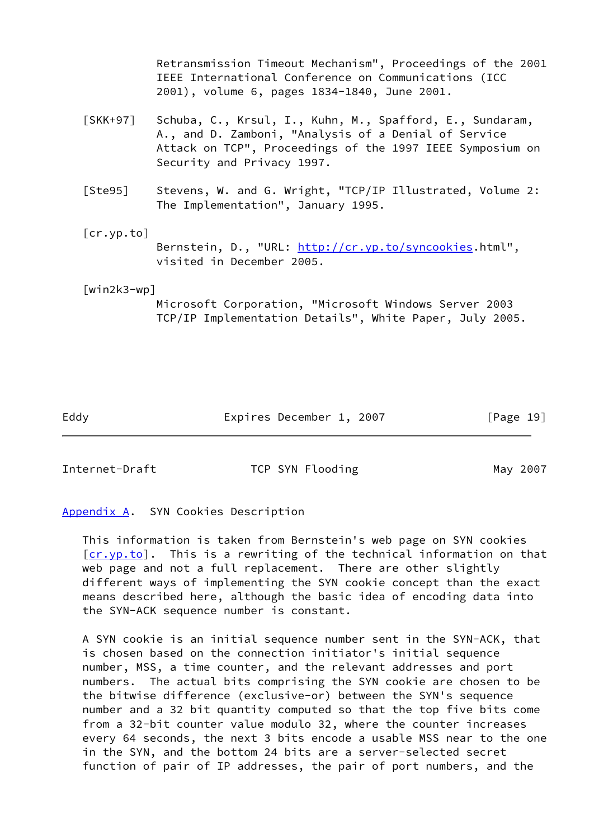Retransmission Timeout Mechanism", Proceedings of the 2001 IEEE International Conference on Communications (ICC 2001), volume 6, pages 1834-1840, June 2001.

- [SKK+97] Schuba, C., Krsul, I., Kuhn, M., Spafford, E., Sundaram, A., and D. Zamboni, "Analysis of a Denial of Service Attack on TCP", Proceedings of the 1997 IEEE Symposium on Security and Privacy 1997.
- <span id="page-21-2"></span>[Ste95] Stevens, W. and G. Wright, "TCP/IP Illustrated, Volume 2: The Implementation", January 1995.
- <span id="page-21-3"></span> [cr.yp.to] Bernstein, D., "URL:<http://cr.yp.to/syncookies>.html", visited in December 2005.

# <span id="page-21-4"></span> [win2k3-wp] Microsoft Corporation, "Microsoft Windows Server 2003 TCP/IP Implementation Details", White Paper, July 2005.

Eddy Expires December 1, 2007 [Page 19]

<span id="page-21-1"></span>

Internet-Draft TCP SYN Flooding The May 2007

<span id="page-21-0"></span>[Appendix A.](#page-21-0) SYN Cookies Description

 This information is taken from Bernstein's web page on SYN cookies  $[cr.yp.to]$  $[cr.yp.to]$ . This is a rewriting of the technical information on that web page and not a full replacement. There are other slightly different ways of implementing the SYN cookie concept than the exact means described here, although the basic idea of encoding data into the SYN-ACK sequence number is constant.

 A SYN cookie is an initial sequence number sent in the SYN-ACK, that is chosen based on the connection initiator's initial sequence number, MSS, a time counter, and the relevant addresses and port numbers. The actual bits comprising the SYN cookie are chosen to be the bitwise difference (exclusive-or) between the SYN's sequence number and a 32 bit quantity computed so that the top five bits come from a 32-bit counter value modulo 32, where the counter increases every 64 seconds, the next 3 bits encode a usable MSS near to the one in the SYN, and the bottom 24 bits are a server-selected secret function of pair of IP addresses, the pair of port numbers, and the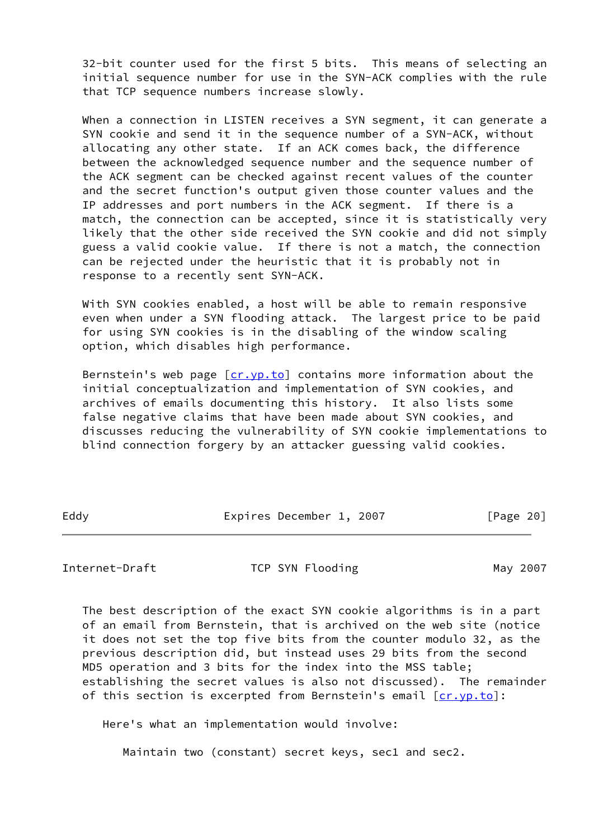32-bit counter used for the first 5 bits. This means of selecting an initial sequence number for use in the SYN-ACK complies with the rule that TCP sequence numbers increase slowly.

 When a connection in LISTEN receives a SYN segment, it can generate a SYN cookie and send it in the sequence number of a SYN-ACK, without allocating any other state. If an ACK comes back, the difference between the acknowledged sequence number and the sequence number of the ACK segment can be checked against recent values of the counter and the secret function's output given those counter values and the IP addresses and port numbers in the ACK segment. If there is a match, the connection can be accepted, since it is statistically very likely that the other side received the SYN cookie and did not simply guess a valid cookie value. If there is not a match, the connection can be rejected under the heuristic that it is probably not in response to a recently sent SYN-ACK.

 With SYN cookies enabled, a host will be able to remain responsive even when under a SYN flooding attack. The largest price to be paid for using SYN cookies is in the disabling of the window scaling option, which disables high performance.

Bernstein's web page  $[cr.yp.to]$  $[cr.yp.to]$  contains more information about the initial conceptualization and implementation of SYN cookies, and archives of emails documenting this history. It also lists some false negative claims that have been made about SYN cookies, and discusses reducing the vulnerability of SYN cookie implementations to blind connection forgery by an attacker guessing valid cookies.

Eddy **Expires December 1, 2007** [Page 20]

Internet-Draft TCP SYN Flooding TCP SAN PORT May 2007

 The best description of the exact SYN cookie algorithms is in a part of an email from Bernstein, that is archived on the web site (notice it does not set the top five bits from the counter modulo 32, as the previous description did, but instead uses 29 bits from the second MD5 operation and 3 bits for the index into the MSS table; establishing the secret values is also not discussed). The remainder of this section is excerpted from Bernstein's email [\[cr.yp.to](#page-21-3)]:

Here's what an implementation would involve:

Maintain two (constant) secret keys, sec1 and sec2.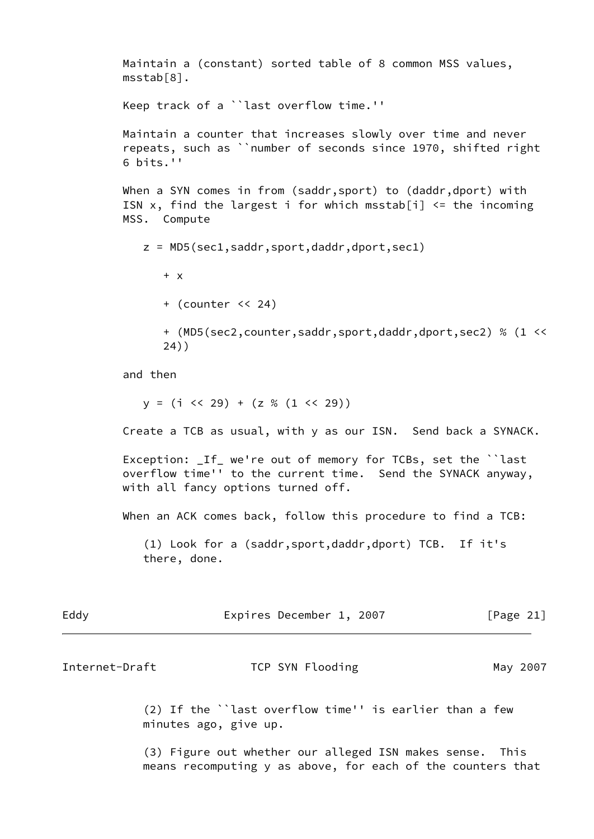```
 Maintain a (constant) sorted table of 8 common MSS values,
 msstab[8].
 Keep track of a ``last overflow time.''
 Maintain a counter that increases slowly over time and never
 repeats, such as ``number of seconds since 1970, shifted right
 6 bits.''
When a SYN comes in from (saddr, sport) to (daddr, dport) with
ISN x, find the largest i for which msstab[i] \leq the incoming
 MSS. Compute
    z = MD5(sec1,saddr,sport,daddr,dport,sec1)
       + x
       + (counter << 24)
       + (MD5(sec2,counter,saddr,sport,daddr,dport,sec2) % (1 <<
       24))
 and then
   y = (i \ll 29) + (z \% (1 \ll 29)) Create a TCB as usual, with y as our ISN. Send back a SYNACK.
 Exception: _If_ we're out of memory for TCBs, set the ``last
 overflow time'' to the current time. Send the SYNACK anyway,
 with all fancy options turned off.
 When an ACK comes back, follow this procedure to find a TCB:
    (1) Look for a (saddr,sport,daddr,dport) TCB. If it's
    there, done.
```

| Eddy |  | Expires December 1, 2007 |  |  | [Page 21] |
|------|--|--------------------------|--|--|-----------|
|------|--|--------------------------|--|--|-----------|

Internet-Draft TCP SYN Flooding The May 2007

 (2) If the ``last overflow time'' is earlier than a few minutes ago, give up.

 (3) Figure out whether our alleged ISN makes sense. This means recomputing y as above, for each of the counters that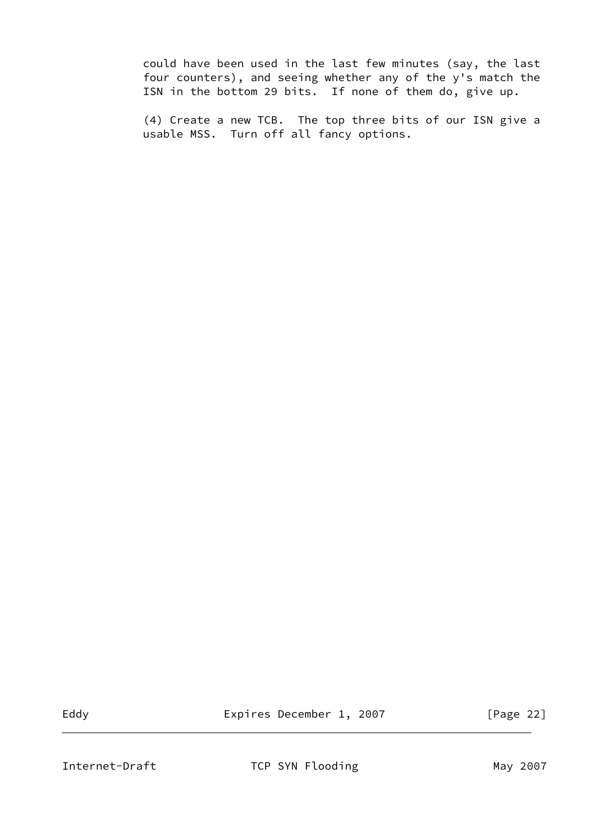could have been used in the last few minutes (say, the last four counters), and seeing whether any of the y's match the ISN in the bottom 29 bits. If none of them do, give up.

 (4) Create a new TCB. The top three bits of our ISN give a usable MSS. Turn off all fancy options.

Eddy **Expires December 1, 2007** [Page 22]

<span id="page-24-0"></span>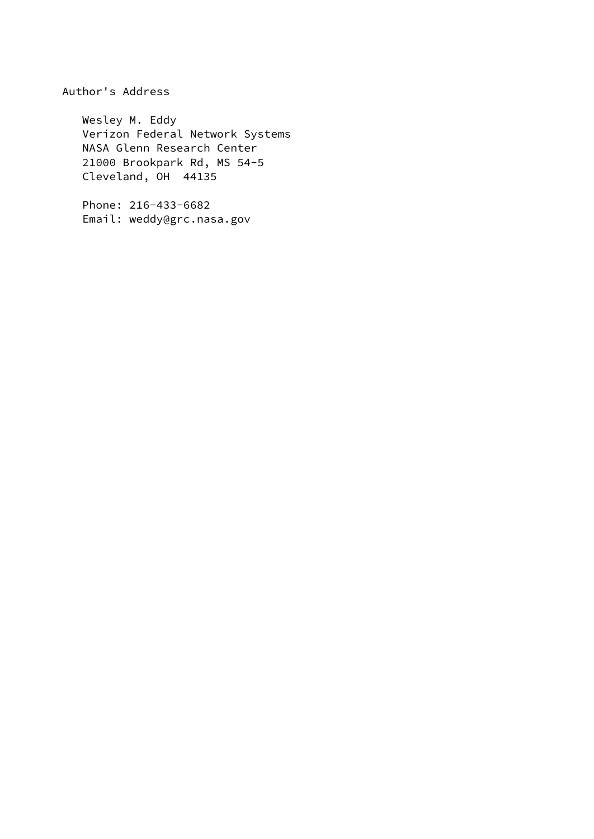Author's Address

 Wesley M. Eddy Verizon Federal Network Systems NASA Glenn Research Center 21000 Brookpark Rd, MS 54-5 Cleveland, OH 44135

 Phone: 216-433-6682 Email: weddy@grc.nasa.gov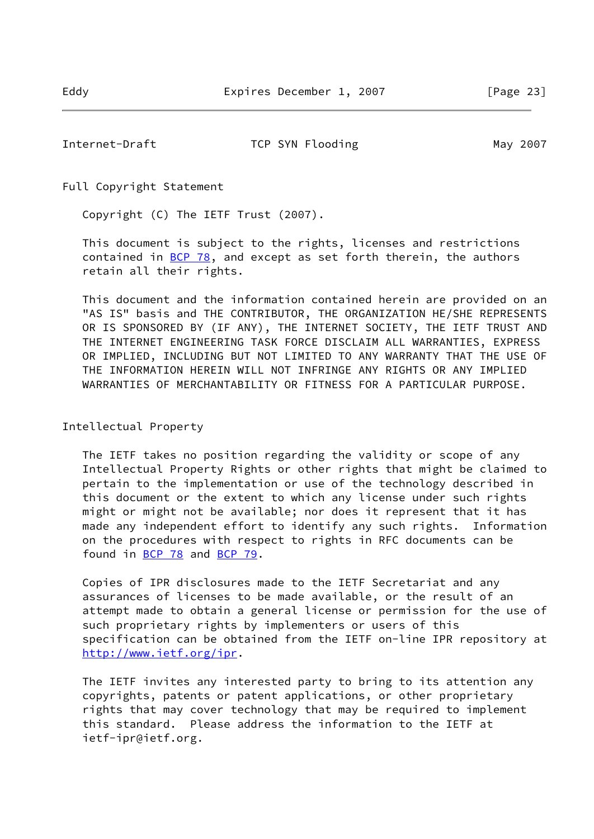<span id="page-26-0"></span>Internet-Draft TCP SYN Flooding May 2007

Full Copyright Statement

Copyright (C) The IETF Trust (2007).

 This document is subject to the rights, licenses and restrictions contained in  $BCP$  78, and except as set forth therein, the authors retain all their rights.

 This document and the information contained herein are provided on an "AS IS" basis and THE CONTRIBUTOR, THE ORGANIZATION HE/SHE REPRESENTS OR IS SPONSORED BY (IF ANY), THE INTERNET SOCIETY, THE IETF TRUST AND THE INTERNET ENGINEERING TASK FORCE DISCLAIM ALL WARRANTIES, EXPRESS OR IMPLIED, INCLUDING BUT NOT LIMITED TO ANY WARRANTY THAT THE USE OF THE INFORMATION HEREIN WILL NOT INFRINGE ANY RIGHTS OR ANY IMPLIED WARRANTIES OF MERCHANTABILITY OR FITNESS FOR A PARTICULAR PURPOSE.

## Intellectual Property

 The IETF takes no position regarding the validity or scope of any Intellectual Property Rights or other rights that might be claimed to pertain to the implementation or use of the technology described in this document or the extent to which any license under such rights might or might not be available; nor does it represent that it has made any independent effort to identify any such rights. Information on the procedures with respect to rights in RFC documents can be found in [BCP 78](https://datatracker.ietf.org/doc/pdf/bcp78) and [BCP 79](https://datatracker.ietf.org/doc/pdf/bcp79).

 Copies of IPR disclosures made to the IETF Secretariat and any assurances of licenses to be made available, or the result of an attempt made to obtain a general license or permission for the use of such proprietary rights by implementers or users of this specification can be obtained from the IETF on-line IPR repository at <http://www.ietf.org/ipr>.

 The IETF invites any interested party to bring to its attention any copyrights, patents or patent applications, or other proprietary rights that may cover technology that may be required to implement this standard. Please address the information to the IETF at ietf-ipr@ietf.org.